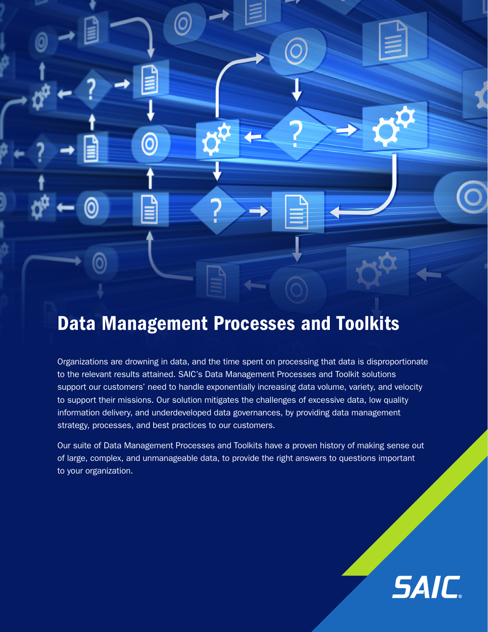# Data Management Processes and Toolkits

0

 $\bm{\Theta}$ 

Organizations are drowning in data, and the time spent on processing that data is disproportionate to the relevant results attained. SAIC's Data Management Processes and Toolkit solutions support our customers' need to handle exponentially increasing data volume, variety, and velocity to support their missions. Our solution mitigates the challenges of excessive data, low quality information delivery, and underdeveloped data governances, by providing data management strategy, processes, and best practices to our customers.

 $\overline{\mathbf{2}}$ 

Our suite of Data Management Processes and Toolkits have a proven history of making sense out of large, complex, and unmanageable data, to provide the right answers to questions important to your organization.